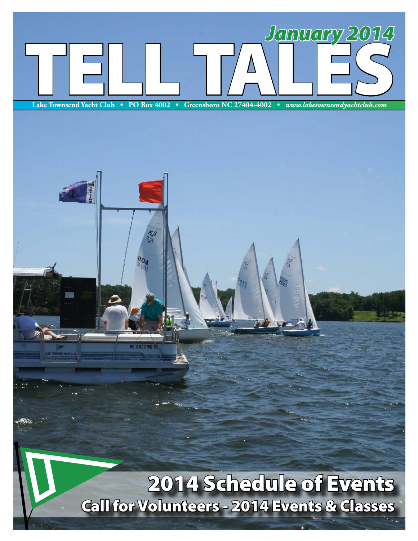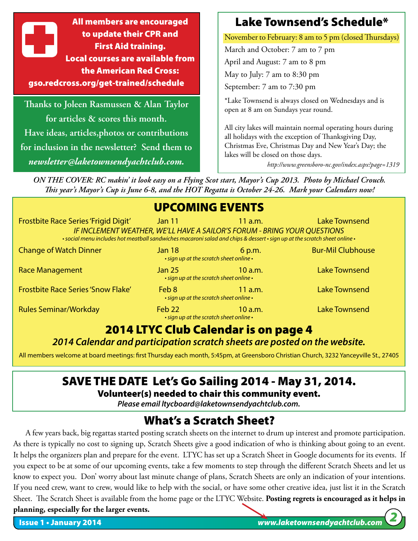All members are encouraged to update their CPR and First Aid training. Local courses are available from the American Red Cross: gso.redcross.org/get-trained/schedule

**Thanks to Joleen Rasmussen & Alan Taylor for articles & scores this month. Have ideas, articles,photos or contributions for inclusion in the newsletter? Send them to** *newsletter@laketownsendyachtclub.com.*

# Lake Townsend's Schedule\*

November to February: 8 am to 5 pm (closed Thursdays)

March and October: 7 am to 7 pm April and August: 7 am to 8 pm May to July: 7 am to 8:30 pm September: 7 am to 7:30 pm

\*Lake Townsend is always closed on Wednesdays and is open at 8 am on Sundays year round.

All city lakes will maintain normal operating hours during all holidays with the exception of Thanksgiving Day, Christmas Eve, Christmas Day and New Year's Day; the lakes will be closed on those days.

*http://www.greensboro-nc.gov/index.aspx?page=1319*

*ON THE COVER: RC makin' it look easy on a Flying Scot start, Mayor's Cup 2013. Photo by Michael Crouch. This year's Mayor's Cup is June 6-8, and the HOT Regatta is October 24-26. Mark your Calendars now!*

### UPCOMING EVENTS

| <b>Frostbite Race Series 'Frigid Digit'</b>                                                                               | Jan 11                                                                   | $11$ a.m. | <b>Lake Townsend</b>     |
|---------------------------------------------------------------------------------------------------------------------------|--------------------------------------------------------------------------|-----------|--------------------------|
| • social menu includes hot meatball sandwiches macaroni salad and chips & dessert • sign up at the scratch sheet online • | IF INCLEMENT WEATHER, WE'LL HAVE A SAILOR'S FORUM - BRING YOUR QUESTIONS |           |                          |
| <b>Change of Watch Dinner</b>                                                                                             | Jan 18<br>• sign up at the scratch sheet online •                        | 6 p.m.    | <b>Bur-Mil Clubhouse</b> |
| <b>Race Management</b>                                                                                                    | <b>Jan 25</b><br>• sign up at the scratch sheet online •                 | 10 a.m.   | <b>Lake Townsend</b>     |
| <b>Frostbite Race Series 'Snow Flake'</b>                                                                                 | Feb 8<br>• sign up at the scratch sheet online •                         | 11 $a.m.$ | <b>Lake Townsend</b>     |
| <b>Rules Seminar/Workday</b>                                                                                              | Feb <sub>22</sub><br>. sign up at the scratch sheet online.              | 10a.m.    | <b>Lake Townsend</b>     |

# 2014 LTYC Club Calendar is on page 4

### *2014 Calendar and participation scratch sheets are posted on the website.*

All members welcome at board meetings: first Thursday each month, 5:45pm, at Greensboro Christian Church, 3232 Yanceyville St., 27405

# SAVE THE DATE Let's Go Sailing 2014 - May 31, 2014.

### Volunteer(s) needed to chair this community event.

*Please email ltycboard@laketownsendyachtclub.com.*

# What's a Scratch Sheet?

A few years back, big regattas started posting scratch sheets on the internet to drum up interest and promote participation. As there is typically no cost to signing up, Scratch Sheets give a good indication of who is thinking about going to an event. It helps the organizers plan and prepare for the event. LTYC has set up a Scratch Sheet in Google documents for its events. If you expect to be at some of our upcoming events, take a few moments to step through the different Scratch Sheets and let us know to expect you. Don' worry about last minute change of plans, Scratch Sheets are only an indication of your intentions. If you need crew, want to crew, would like to help with the social, or have some other creative idea, just list it in the Scratch Sheet. The Scratch Sheet is available from the home page or the LTYC Website. **Posting regrets is encouraged as it helps in planning, especially for the larger events.**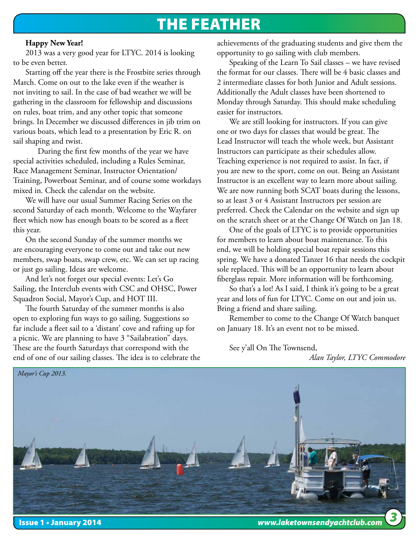# The FEather

### **Happy New Year!**

2013 was a very good year for LTYC. 2014 is looking to be even better.

Starting off the year there is the Frostbite series through March. Come on out to the lake even if the weather is not inviting to sail. In the case of bad weather we will be gathering in the classroom for fellowship and discussions on rules, boat trim, and any other topic that someone brings. In December we discussed differences in jib trim on various boats, which lead to a presentation by Eric R. on sail shaping and twist.

During the first few months of the year we have special activities scheduled, including a Rules Seminar, Race Management Seminar, Instructor Orientation/ Training, Powerboat Seminar, and of course some workdays mixed in. Check the calendar on the website.

We will have our usual Summer Racing Series on the second Saturday of each month. Welcome to the Wayfarer fleet which now has enough boats to be scored as a fleet this year.

On the second Sunday of the summer months we are encouraging everyone to come out and take out new members, swap boats, swap crew, etc. We can set up racing or just go sailing. Ideas are welcome.

And let's not forget our special events: Let's Go Sailing, the Interclub events with CSC and OHSC, Power Squadron Social, Mayor's Cup, and HOT III.

The fourth Saturday of the summer months is also open to exploring fun ways to go sailing. Suggestions so far include a fleet sail to a 'distant' cove and rafting up for a picnic. We are planning to have 3 "Sailabration" days. These are the fourth Saturdays that correspond with the end of one of our sailing classes. The idea is to celebrate the

achievements of the graduating students and give them the opportunity to go sailing with club members.

Speaking of the Learn To Sail classes – we have revised the format for our classes. There will be 4 basic classes and 2 intermediate classes for both Junior and Adult sessions. Additionally the Adult classes have been shortened to Monday through Saturday. This should make scheduling easier for instructors.

We are still looking for instructors. If you can give one or two days for classes that would be great. The Lead Instructor will teach the whole week, but Assistant Instructors can participate as their schedules allow. Teaching experience is not required to assist. In fact, if you are new to the sport, come on out. Being an Assistant Instructor is an excellent way to learn more about sailing. We are now running both SCAT boats during the lessons, so at least 3 or 4 Assistant Instructors per session are preferred. Check the Calendar on the website and sign up on the scratch sheet or at the Change Of Watch on Jan 18.

One of the goals of LTYC is to provide opportunities for members to learn about boat maintenance. To this end, we will be holding special boat repair sessions this spring. We have a donated Tanzer 16 that needs the cockpit sole replaced. This will be an opportunity to learn about fiberglass repair. More information will be forthcoming.

So that's a lot! As I said, I think it's going to be a great year and lots of fun for LTYC. Come on out and join us. Bring a friend and share sailing.

Remember to come to the Change Of Watch banquet on January 18. It's an event not to be missed.

See y'all On The Townsend,

*Alan Taylor, LTYC Commodore*

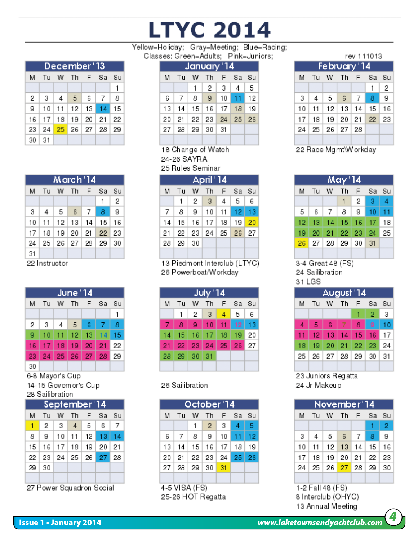# **LTYC 2014**

Yellow=Holiday; Gray=Meeting; Blue=Racing;

Classes: Green=Adults; Pink=Juniors;

|    | December'13 |   |                                  |  |  |   |  |  |
|----|-------------|---|----------------------------------|--|--|---|--|--|
| м  |             |   | Tu W Th F Sa Su                  |  |  |   |  |  |
|    |             |   |                                  |  |  | 1 |  |  |
| 2  | -3          | 4 | 5 6 7                            |  |  | 8 |  |  |
| 9  |             |   | 10   11   12   13   14   15      |  |  |   |  |  |
|    |             |   | 16   17   18   19   20   21   22 |  |  |   |  |  |
| 23 |             |   | 24 25 26 27 28 29                |  |  |   |  |  |
| 30 | -31         |   |                                  |  |  |   |  |  |

| March '14 |               |       |                          |     |       |      |  |  |
|-----------|---------------|-------|--------------------------|-----|-------|------|--|--|
| М         | Tu            | W     | Th.                      | - F | Sa    | Su   |  |  |
|           |               |       |                          |     | 1     | 2    |  |  |
| 3         | 4             | l 5 I | - 6                      | - 7 | -8    | 9    |  |  |
| 10        |               |       | $11$   12   13   14   15 |     |       | l 16 |  |  |
| 17        | 18            |       | 19 20 21                 |     | 22 23 |      |  |  |
| 24        |               |       | 25   26   27   28   29   |     |       | 30   |  |  |
| 31        |               |       |                          |     |       |      |  |  |
|           | 22 Instructor |       |                          |     |       |      |  |  |

June '14 Tu W Th F Sa Su M  $\mathbf{1}$  $\overline{4}$ 5  $\overline{7}$ 8 2 3 -6  $12<sub>2</sub>$ 14 15 9  $10$  11  $13$  $16$  |  $17$  $18$ 19 20 21 22 23 L  $24$  | 25 | 26 27 28 29 30

6-8 Mayor's Cup 14-15 Governor's Cup 28 Sailibration

| September'14 |    |  |                                  |  |   |     |  |  |
|--------------|----|--|----------------------------------|--|---|-----|--|--|
| M            | Tu |  | W Th F Sa Su                     |  |   |     |  |  |
| T            |    |  | $2 \mid 3 \mid 4 \mid 5$         |  | 6 | l 7 |  |  |
| 8            |    |  | 9 10 11 12 13 14                 |  |   |     |  |  |
|              |    |  | 15   16   17   18   19   20   21 |  |   |     |  |  |
|              |    |  | 22   23   24   25   26   27   28 |  |   |     |  |  |
| 29           | 30 |  |                                  |  |   |     |  |  |
|              |    |  |                                  |  |   |     |  |  |

27 Power Squadron Social

### January '14

|                        |  | M Tu W Th F Sa Su                                |  |
|------------------------|--|--------------------------------------------------|--|
|                        |  | $1 \mid 2 \mid 3 \mid 4 \mid 5$                  |  |
|                        |  | $6 \mid 7 \mid 8 \mid 9 \mid 10 \mid 11 \mid 12$ |  |
|                        |  | 13   14   15   16   17   18   19                 |  |
|                        |  | 20 21 22 23 24 25 26                             |  |
| 27   28   29   30   31 |  |                                                  |  |
|                        |  |                                                  |  |

18 Change of Watch 24-26 SAYRA 25 Rules Seminar

April '14 M Tu W Th F Sa Su 5 6  $\mathbf{1}$ 2 3 4  $\overline{7}$ 8 9 10  $12$  13  $\vert$  11 18 19 20  $14$  $15|16$ 17  $21$ 22 23  $24$  $25$  $26$   $27$  $28$ 29 30

13 Piedmont Interclub (LTYC) 26 Powerboat/Workday

|    | July '14 |          |         |                |         |    |  |  |
|----|----------|----------|---------|----------------|---------|----|--|--|
| M  | Tu       | W        | - Th    | - F            | Sa Su   |    |  |  |
|    |          | 2        | 3       | $\overline{4}$ | 5       | 6  |  |  |
|    | 8        | 9        | 10      | $\Box$ 11      | 12   13 |    |  |  |
| 14 | -15      |          | 16   17 | 18             | 19      | 20 |  |  |
| 21 |          | 22 23 24 |         | 25 26 27       |         |    |  |  |
| 28 | 29       | 30       | -31     |                |         |    |  |  |
|    |          |          |         |                |         |    |  |  |

### 26 Sailibration

| October '14 |               |         |                             |    |                 |      |  |  |
|-------------|---------------|---------|-----------------------------|----|-----------------|------|--|--|
| M           |               |         | Tu W Th F Sa Su             |    |                 |      |  |  |
|             |               | 1       | $2 \mid 3$                  |    | $\vert 4 \vert$ | l 5  |  |  |
| 6           |               |         | 7   8   9   10   11         |    |                 | l 12 |  |  |
|             | 13   14       |         | 15   16   17   18   19      |    |                 |      |  |  |
| 20          |               |         | 21   22   23   24   25   26 |    |                 |      |  |  |
| 27128       |               | 29   30 |                             | 31 |                 |      |  |  |
|             |               |         |                             |    |                 |      |  |  |
|             | 4-5 VISA (FS) |         |                             |    |                 |      |  |  |

25-26 HOT Regatta

|    |   |                     |  | rev 111013        |   |
|----|---|---------------------|--|-------------------|---|
|    |   | February 14         |  |                   |   |
| м  |   |                     |  | Tu W Th F Sa Su   |   |
|    |   |                     |  |                   | 2 |
| з  | 4 | 5 6 7               |  | - 8               | 9 |
| 10 |   | $11$   12   13   14 |  | 15   16           |   |
| 17 |   |                     |  | 18 19 20 21 22 23 |   |
| 24 |   | 25   26   27   28   |  |                   |   |
|    |   |                     |  |                   |   |

22 Race Mgmt\Workday

| May 14 |   |    |      |                                 |                                                                   |  |  |
|--------|---|----|------|---------------------------------|-------------------------------------------------------------------|--|--|
| Tu     |   |    |      | Sa                              | - Su                                                              |  |  |
|        |   | 1  | 2    | - 3                             | 4                                                                 |  |  |
| 6      | 7 | -8 | 9    | 10                              | $-11$                                                             |  |  |
|        |   |    |      |                                 | 18                                                                |  |  |
|        |   |    |      |                                 | 25                                                                |  |  |
|        |   |    |      |                                 |                                                                   |  |  |
|        |   |    |      |                                 |                                                                   |  |  |
|        |   |    | W Th | $-F$<br>0 <i>A Den</i> 140 (FC) | 13   14   15   16   17  <br>20 21 22 23 24<br>$26$ 27 28 29 30 31 |  |  |

3-4 Great 48 (FS) 24 Sailibration 31 LGS

| August '14 |                 |             |    |             |     |    |  |  |
|------------|-----------------|-------------|----|-------------|-----|----|--|--|
| М          | Tu              | w           | Th | -F          | Sa  | Su |  |  |
|            |                 |             |    |             | 2   | 3  |  |  |
|            | 5               | -6          |    | 8           | 9   | 10 |  |  |
| 11         | 12 <sup>°</sup> | 13          | 14 | l 15.       | -16 | 17 |  |  |
| 18         | 19              |             |    | 20 21 22 23 |     | 24 |  |  |
| 25         |                 | 26 27 28 29 |    |             | 30  | 31 |  |  |
|            |                 |             |    |             |     |    |  |  |

23 Juniors Regatta 24 Jr Makeup

|    | November'14 |              |  |  |                                  |      |  |
|----|-------------|--------------|--|--|----------------------------------|------|--|
| м  |             | Tu W Th F Sa |  |  |                                  | - Su |  |
|    |             |              |  |  |                                  | 2    |  |
| з  |             | 4 5 6 7 8    |  |  |                                  | 9    |  |
| 10 |             |              |  |  | 11   12   13   14   15   16      |      |  |
|    |             |              |  |  | 17   18   19   20   21   22   23 |      |  |
| 24 |             |              |  |  | 25 26 27 28 29 30                |      |  |
|    |             |              |  |  |                                  |      |  |

1-2 Fall 48 (FS) 8 Interclub (OHYC) 13 Annual Meeting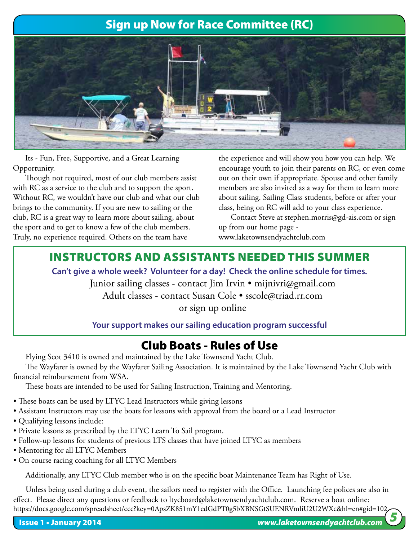# Sign up Now for Race Committee (RC)



Its - Fun, Free, Supportive, and a Great Learning Opportunity.

Though not required, most of our club members assist with RC as a service to the club and to support the sport. Without RC, we wouldn't have our club and what our club brings to the community. If you are new to sailing or the club, RC is a great way to learn more about sailing, about the sport and to get to know a few of the club members. Truly, no experience required. Others on the team have

the experience and will show you how you can help. We encourage youth to join their parents on RC, or even come out on their own if appropriate. Spouse and other family members are also invited as a way for them to learn more about sailing. Sailing Class students, before or after your class, being on RC will add to your class experience.

Contact Steve at stephen.morris@gd-ais.com or sign up from our home page -

www.laketownsendyachtclub.com

# Instructors and assistants Needed This Summer

**Can't give a whole week? Volunteer for a day! Check the online schedule for times.**

Junior sailing classes - contact Jim Irvin • mijnivri@gmail.com Adult classes - contact Susan Cole • sscole@triad.rr.com or sign up online

### **Your support makes our sailing education program successful**

# Club Boats - Rules of Use

Flying Scot 3410 is owned and maintained by the Lake Townsend Yacht Club.

The Wayfarer is owned by the Wayfarer Sailing Association. It is maintained by the Lake Townsend Yacht Club with financial reimbursement from WSA.

These boats are intended to be used for Sailing Instruction, Training and Mentoring.

- These boats can be used by LTYC Lead Instructors while giving lessons
- Assistant Instructors may use the boats for lessons with approval from the board or a Lead Instructor
- Qualifying lessons include:
- Private lessons as prescribed by the LTYC Learn To Sail program.
- Follow-up lessons for students of previous LTS classes that have joined LTYC as members
- Mentoring for all LTYC Members
- On course racing coaching for all LTYC Members

Additionally, any LTYC Club member who is on the specific boat Maintenance Team has Right of Use.

Unless being used during a club event, the sailors need to register with the Office. Launching fee polices are also in effect. Please direct any questions or feedback to ltycboard@laketownsendyachtclub.com. Reserve a boat online: https://docs.google.com/spreadsheet/ccc?key=0ApsZK851mY1edGdPT0g5bXBNSGtSUENRVmliU2U2WXc&hl=en#gid=102 *5*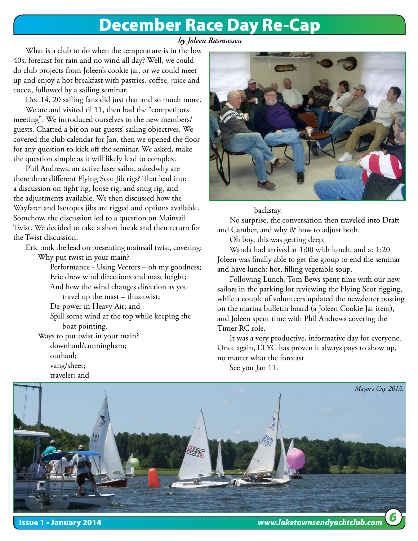# December Race Day Re-Cap

### *by Joleen Rasmussen*

What is a club to do when the temperature is in the low 40s, forecast for rain and no wind all day? Well, we could do club projects from Joleen's cookie jar, or we could meet up and enjoy a hot breakfast with pastries, coffee, juice and cocoa, followed by a sailing seminar.

Dec 14, 20 sailing fans did just that and so much more.

We ate and visited til 11, then had the "competitors meeting". We introduced ourselves to the new members/ guests. Chatted a bit on our guests' sailing objectives. We covered the club calendar for Jan, then we opened the floor for any question to kick off the seminar. We asked, make the question simple as it will likely lead to complex.

Phil Andrews, an active laser sailor, askedwhy are there three different Flying Scot Jib rigs? That lead into a discussion on tight rig, loose rig, and snug rig, and the adjustments available. We then discussed how the Wayfarer and Isotopes jibs are rigged and options available. Somehow, the discussion led to a question on Mainsail Twist. We decided to take a short break and then return for the Twist discussion.

Eric took the lead on presenting mainsail twist, covering: Why put twist in your main?

> Performance - Using Vectors – oh my goodness; Eric drew wind directions and mast height;

 And how the wind changes direction as you travel up the mast – thus twist;

De-power in Heavy Air; and

 Spill some wind at the top while keeping the boat pointing.

Ways to put twist in your main? downhaul/cunningham; outhaul; vang/sheet;

traveler; and



### backstay.

No surprise, the conversation then traveled into Draft and Camber, and why & how to adjust both.

Oh boy, this was getting deep.

Wanda had arrived at 1:00 with lunch, and at 1:20 Joleen was finally able to get the group to end the seminar and have lunch: hot, filling vegetable soup.

Following Lunch, Tom Bews spent time with our new sailors in the parking lot reviewing the Flying Scot rigging, while a couple of volunteers updated the newsletter posting on the marina bulletin board (a Joleen Cookie Jar item), and Joleen spent time with Phil Andrews covering the Timer RC role.

It was a very productive, informative day for everyone. Once again, LTYC has proven it always pays to show up, no matter what the forecast.

See you Jan 11.



Issue 1 • January 2014 *www.laketownsendyachtclub.com*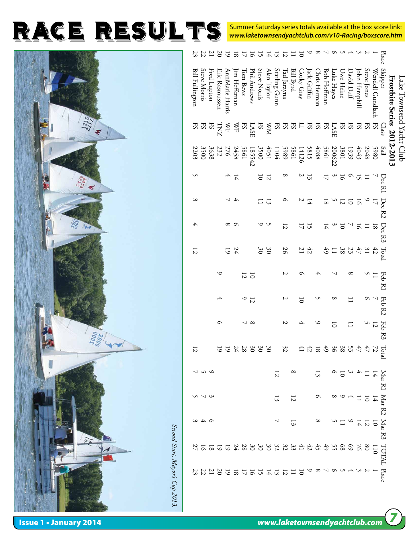Summer Saturday series totals available at the box score link: *www.laketownsendyachtclub.com/v10-Racing/boxscore.htm*

|                                 | C |
|---------------------------------|---|
| <b>STS222</b><br>$\star$        |   |
|                                 |   |
|                                 |   |
| Ń                               |   |
|                                 |   |
|                                 |   |
|                                 |   |
|                                 |   |
|                                 |   |
|                                 |   |
|                                 |   |
| <b>Poor</b><br>C                |   |
|                                 |   |
|                                 |   |
|                                 |   |
| è,                              |   |
| Second Start, Mayor's Cup 2013. |   |
|                                 |   |
|                                 |   |
|                                 |   |

|                          |                            | Place                                  |                  |                             |                                                                                                   |            |                    |                                                | コラマチラフ          |                | $\infty$      |                 | 111111111                                     |                |                |                |                |                                                                                                                                                                                                                                                                                                                                                                                                                                                                                                                                      |                 |                |                  |                |             |                      | 35847          |
|--------------------------|----------------------------|----------------------------------------|------------------|-----------------------------|---------------------------------------------------------------------------------------------------|------------|--------------------|------------------------------------------------|-----------------|----------------|---------------|-----------------|-----------------------------------------------|----------------|----------------|----------------|----------------|--------------------------------------------------------------------------------------------------------------------------------------------------------------------------------------------------------------------------------------------------------------------------------------------------------------------------------------------------------------------------------------------------------------------------------------------------------------------------------------------------------------------------------------|-----------------|----------------|------------------|----------------|-------------|----------------------|----------------|
| Lake Townsend Yacht Club | Frostbite Series 2012-2013 | <b>Skipper</b>                         | Wendell Gundlach | Steve Jones                 | lohn Hemphill                                                                                     | David Duff | Jwe Heine          | uke Hayes                                      | Bob Hoffman     | Chris Herman   | ack Griffin   | Jorky Gray      | <b>Bill Byrd</b>                              | ad Jarzyna     | Starling Gunn  | Alan Taylor    | Steve Norris   | Phil Andrews                                                                                                                                                                                                                                                                                                                                                                                                                                                                                                                         | <b>Lom Bews</b> | im Hetternan   | AnnMarie Harris  | Eric Rasmussen | Fred Lupton |                      | Steve Morris   |
|                          |                            | Class                                  | ES               |                             | $\begin{array}{c}\n\texttt{ESS} \\ \texttt{ESS} \\ \texttt{LASE}\n\end{array}$                    |            |                    |                                                |                 |                |               |                 |                                               |                |                |                |                | ${\mathbb E}\, {\mathbb E}\, {\mathbb E}\, {\mathbb E}\, {\mathbb E}\, {\mathbb E}\, {\mathbb E}\, {\mathbb E}\, {\mathbb E}\, {\mathbb E}\, {\mathbb E}\, {\mathbb E}\, {\mathbb E}\, {\mathbb E}\, {\mathbb E}\, {\mathbb E}\, {\mathbb E}\, {\mathbb E}\, {\mathbb E}\, {\mathbb E}\, {\mathbb E}\, {\mathbb E}\, {\mathbb E}\, {\mathbb E}\, {\mathbb E}\, {\mathbb E}\, {\mathbb E}\, {\mathbb E}\, {\mathbb E}\, {\mathbb E}\, {\mathbb E}\, {\mathbb E}\, {\mathbb E}\, {\mathbb E}\, {\mathbb E}\, {\mathbb E}\, {\mathbb E$ |                 |                |                  |                |             |                      |                |
|                          |                            | Sail                                   |                  | 5980<br>2048                | $\begin{array}{c} 4043 \\ 1939 \\ 2801 \\ 200622 \\ 5861 \end{array}$                             |            |                    |                                                |                 |                |               |                 | 4088<br>5815<br>5861<br>5989<br>10951<br>4051 |                |                |                |                | 3500<br>185542                                                                                                                                                                                                                                                                                                                                                                                                                                                                                                                       | 1989            | 2458           | $\overline{276}$ | 232            |             | 3638<br>3500         |                |
|                          |                            | Dec R1                                 |                  |                             | 5                                                                                                 |            | $\overline{5}$     | $\mathcal{Q}$                                  | $\overline{17}$ |                | 13            |                 |                                               | ∞              |                | $\overline{z}$ | $\overline{0}$ |                                                                                                                                                                                                                                                                                                                                                                                                                                                                                                                                      |                 | 14             | 4                |                |             |                      |                |
|                          |                            | $\operatorname{Dec} \operatorname{R2}$ | $\overline{a}$   |                             | $\overline{5}$                                                                                    |            | $\frac{1}{2}$      |                                                | $\overline{8}$  |                | $\frac{1}{4}$ |                 |                                               |                |                | $\overline{3}$ |                |                                                                                                                                                                                                                                                                                                                                                                                                                                                                                                                                      |                 | $\overline{+}$ |                  |                |             |                      | ပ              |
|                          |                            | $\operatorname{Dec} \operatorname{R3}$ |                  | $\frac{1}{2}$ $\frac{1}{2}$ |                                                                                                   |            | $\overline{\circ}$ |                                                | 14              |                | 51            | コ               |                                               | $\overline{z}$ |                |                |                |                                                                                                                                                                                                                                                                                                                                                                                                                                                                                                                                      |                 | ○              | $^{\circ}$       |                |             |                      | A              |
|                          |                            | Total                                  |                  | 43.44                       |                                                                                                   |            |                    | $\begin{array}{c} 23 \\ 38 \\ -19 \end{array}$ |                 |                | 42            | $\overline{21}$ |                                               | 26             |                | SO             | $\Im 0$        |                                                                                                                                                                                                                                                                                                                                                                                                                                                                                                                                      |                 | 24             | 5                |                |             |                      | $\overline{2}$ |
|                          |                            | Feb<br>$_{\rm K1}$                     | $\Xi$            |                             |                                                                                                   | ∞          |                    |                                                |                 |                |               |                 |                                               |                |                |                |                |                                                                                                                                                                                                                                                                                                                                                                                                                                                                                                                                      | $\frac{10}{2}$  |                |                  | ≌              |             |                      |                |
|                          |                            | Feb R2                                 |                  |                             |                                                                                                   |            |                    |                                                |                 |                |               | 5               |                                               | N              |                |                |                |                                                                                                                                                                                                                                                                                                                                                                                                                                                                                                                                      | $\frac{12}{9}$  |                |                  | 4              |             |                      |                |
|                          |                            | Feb<br>R3                              | $\overline{z}$   |                             |                                                                                                   |            |                    | 5                                              |                 |                |               | ∱               |                                               | N              |                |                |                | $\infty$                                                                                                                                                                                                                                                                                                                                                                                                                                                                                                                             |                 |                |                  | ᠪ              |             |                      |                |
|                          |                            | Tota                                   |                  | 72                          | $47\,$                                                                                            |            |                    | 2380                                           | 49              | $\overline{8}$ | 42            |                 |                                               | 32             |                | $\Im$          | $\Im$          | $\Im$                                                                                                                                                                                                                                                                                                                                                                                                                                                                                                                                | $^{28}$         |                | 5                |                |             |                      | 12             |
|                          |                            |                                        |                  |                             | Mar R1<br>$\frac{14}{11}$ $\frac{1}{4}$ $\frac{3}{10}$ $\frac{0}{10}$ $\frac{1}{13}$              |            |                    |                                                |                 |                |               |                 | $^{\circ}$                                    |                | $\overline{z}$ |                |                |                                                                                                                                                                                                                                                                                                                                                                                                                                                                                                                                      |                 |                |                  |                |             | コつつ                  |                |
|                          |                            | Mar R2                                 |                  |                             | 19114986                                                                                          |            |                    |                                                |                 |                |               |                 |                                               | 12             | 13             |                |                |                                                                                                                                                                                                                                                                                                                                                                                                                                                                                                                                      |                 |                |                  |                |             | $\omega \sim \omega$ |                |
|                          |                            | $\rm{Mar}$ $\rm{R3}$                   |                  |                             | $\frac{1}{2}$ $\frac{1}{4}$ $\frac{1}{4}$ $\frac{1}{4}$ $\frac{1}{4}$ $\frac{1}{8}$ $\frac{1}{8}$ |            |                    |                                                |                 |                |               |                 | $\overline{3}$                                |                |                |                |                |                                                                                                                                                                                                                                                                                                                                                                                                                                                                                                                                      |                 |                |                  |                |             | $\alpha \neq \omega$ |                |
|                          |                            | TOTAL Place                            |                  |                             |                                                                                                   |            |                    |                                                |                 |                |               |                 |                                               |                |                |                |                | 1285688524443243888844522452                                                                                                                                                                                                                                                                                                                                                                                                                                                                                                         |                 |                |                  |                |             |                      |                |
|                          |                            |                                        |                  |                             |                                                                                                   |            |                    |                                                |                 |                |               |                 |                                               |                |                |                |                |                                                                                                                                                                                                                                                                                                                                                                                                                                                                                                                                      |                 |                |                  |                |             |                      |                |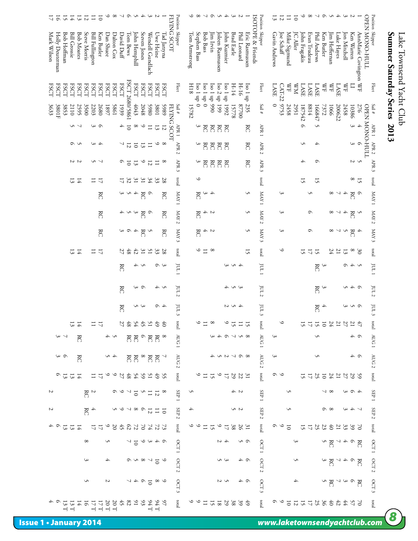# Lake Townsend Yacht Club<br>Summer Saturday Series 2013 *8***Summer Saturday Series 2013** Lake Townsend Yacht Club

| $\overline{5}$<br>17                          | 15<br>$\overline{H}$ |                                          | $12\,$ $\overline{1}$      | $\equiv$               | $\overline{0}$      | $\circ$       | $^{\circ}$       | ↘              | $\circ$        | S                          | さん               |                         | N                                |                |                    |                           |               | ہ م                 |                 | しくうそうひて                  |                  |                |                   |               |                |                   |                         | $\frac{12}{13}$ |             | $\Box$             | $\overline{\circ}$ | $\circ$       | $\infty$        |              | くうつて                             |               |                          | $\tilde{\varepsilon}$                                                                 | Z                  |                       |                                                |  |
|-----------------------------------------------|----------------------|------------------------------------------|----------------------------|------------------------|---------------------|---------------|------------------|----------------|----------------|----------------------------|------------------|-------------------------|----------------------------------|----------------|--------------------|---------------------------|---------------|---------------------|-----------------|--------------------------|------------------|----------------|-------------------|---------------|----------------|-------------------|-------------------------|-----------------|-------------|--------------------|--------------------|---------------|-----------------|--------------|----------------------------------|---------------|--------------------------|---------------------------------------------------------------------------------------|--------------------|-----------------------|------------------------------------------------|--|
| Mark Wilson<br>Bob Hoffman<br>Holly Deuterman |                      | <b>Bill Grossie</b><br><b>Bob Moates</b> | Steve Morris               | <b>Bill Fullington</b> | Ken Butler          | Dan Shuee     | Dalton Cox       | David Duff     | Tom Bews       | John Hemphill              | Steven Jones     | Wendell Gundlach        | Uwe Heine                        | Tad Jarzyna    | <b>FLYING SCOT</b> | Position Skipper          | Tom Armstrong | Stephen Bass        | <b>Bob Bass</b> | lim Irvin                | Joleen Rasmussen | John Kuzmier   | <b>Brad Earle</b> | Phil Leonard  | Eric Rasmussen | ISOTOPE & Friends | Position Skipper        | Gavin Andrews   | Joe Schaff  | Mike Sigmund       | <b>IC Aller</b>    | John Fragakis | Evan Trudeau    | Phil Andrews | Ken Butler                       | Jim Heffernan | Luke Hayes               | Jon Mitchell                                                                          | Ken Warren         | AnnMarie Covington WF | Position Skipper<br><b>OPEN MONO-HULL</b>      |  |
| <b>ESCT</b><br><b>ESCT</b>                    | <b>ESCT</b>          | <b>ESCT</b>                              | <b>ESCT</b><br><b>ESCT</b> | <b>ESCT</b>            | <b>ESCT</b>         | ESCT          | <b>ESCT</b>      | <b>ESCT</b>    | FSCT 2680/5861 | <b>ESCT</b>                | <b>ESCT</b>      | <b>ESCT</b>             | <b>ESCT</b>                      | <b>ESCT</b>    |                    | <b>Fleet</b>              | 8IH           | $0$ dn $1$ os $1$   | lso 1 up 0      | 066 dn 1 os <sub>I</sub> | Iso 2 up 199     | Iso 1 up 1992  | $H-14$            | $H-16$        | Iso 1 up 235   |                   | Fleet                   | LASE            | CAT-22 9753 | <b>SH</b>          | ХW                 | <b>LASE</b>   | LASE            | <b>LASE</b>  | ≸                                | $\mathbb{R}$  | <b>LASE</b>              | KH                                                                                    | $\Box$             |                       | Fleet                                          |  |
| 3801F<br>3853<br>3633                         |                      | 2110<br>2595                             | 3500                       | 2203                   | 2680                | 1897          | 1985             | 1939           |                | 4043                       | 2048             | 5980                    | 1089                             | 5989           | FLYING SCOT        | Sail #                    | 15782         |                     |                 |                          |                  |                | 15778             | $00\angle 28$ |                |                   | Sail $\#$               | $\circ$         |             | 2458               | 2951               | 187542        | 8814            | 166847       | 7372                             | 1066          | 200622                   | 2458                                                                                  | 10386              | 276                   | Sail #<br><b>OPEN MONO-HULL</b>                |  |
|                                               |                      | てら                                       |                            |                        | ပေ                  |               |                  | 4              | $\overline{0}$ | $\infty$                   | $\circ$          | $\Box$                  | $\overline{3}$                   | $\overline{z}$ |                    | APR <sub>1</sub>          |               | $\hat{\bm{\theta}}$ | KC              | $\aleph$                 | $\mathbb{R}$     | KC             |                   |               | KC             |                   | APR <sub>1</sub>        |                 |             |                    |                    | $\circ$       |                 | S            |                                  |               |                          |                                                                                       | 3                  | $\overline{+}$        |                                                |  |
|                                               |                      | S V                                      |                            |                        | 4 3                 |               |                  | ↘              | $\overline{z}$ | $\overline{\text{o}}$      | $\overline{3}$   | $\Xi$                   | $\circ$                          | $\infty$       |                    | APR <sub>2</sub>          |               | $\hat{\bm{\theta}}$ | KC              | KC                       | RC               | KC             |                   |               | KC             |                   | APR <sub>2</sub>        |                 |             |                    |                    | S             |                 | 4            |                                  |               |                          |                                                                                       | 6 0                |                       | APR <sub>1</sub> APR <sub>2</sub>              |  |
|                                               |                      | $\frac{2}{3}$                            |                            |                        | しっ                  |               |                  | ٥              | $\overline{0}$ | $\overline{3}$             | $\circ$          | $\overline{\mathrm{c}}$ | $\Xi$                            | $^{\circ}$     |                    | APR 3                     |               | $\mathfrak{c}$      | KC              | $\aleph$                 | Ř                | KC             |                   |               | KC             |                   | APR 3                   |                 |             |                    |                    | 4             |                 | $\circ$      |                                  |               |                          |                                                                                       | 5<br>2             |                       | APR $\beta$                                    |  |
|                                               |                      | 13<br>$\frac{1}{4}$                      |                            | ≔                      | 17                  |               |                  | $\overline{L}$ | 32             | $\tilde{\mathcal{E}}$      | $\tilde{\sigma}$ | 34                      | 33                               | 28             |                    | pacal                     |               | $\circ$             |                 |                          |                  |                |                   |               |                |                   | prot                    |                 |             |                    |                    | 15            |                 | 15           |                                  |               |                          |                                                                                       | $\frac{1}{8}$      |                       | $_{\rm lcal}$                                  |  |
|                                               |                      |                                          |                            |                        | KC                  |               |                  | $\bm{\omega}$  | S              | 4                          | <b>RC</b>        | $\circ$                 |                                  | KC             |                    | I XVN                     |               | RC                  | $\sim$          | 4                        |                  |                |                   |               | S              |                   | I XVN                   |                 | 3           |                    |                    |               | Š               |              |                                  | $^{\circ}$    | $\overline{\phantom{0}}$ | ↛                                                                                     | KC                 | $\circ$               | I XVIV                                         |  |
|                                               |                      |                                          |                            |                        | KC                  |               |                  |                | さうす            |                            | KC               | $\circ$                 |                                  | KC             |                    | XAY2                      |               | KC                  | $\frac{2}{4}$   |                          |                  |                |                   |               | S              |                   | $\Lambda$ MAV 2         |                 | 3           |                    |                    |               | $\circ$         |              |                                  | $^{\circ}$    | ↘                        | A                                                                                     | $\frac{2}{\kappa}$ |                       | $7\,\mathrm{MW}$ 2                             |  |
|                                               |                      |                                          |                            |                        | KC                  |               |                  |                | c a            | 4                          | Ř                | S                       |                                  | KC             |                    | KAY3                      |               | RC                  |                 | てん                       |                  |                |                   |               | S              |                   | $NAN$ 3                 |                 | 3           |                    |                    |               | $\circ$         |              |                                  | $^{\circ}$    | ↘                        | $\hat{\mathbf{r}}$                                                                    | KC                 | 4                     | $\epsilon$ AAM                                 |  |
|                                               |                      | $\overline{3}$<br>$\overline{4}$         |                            |                        | $\overline{a}$      |               |                  | 27             | $48\,$         | $42\,$                     | $\overline{31}$  | 51                      | 33                               | 28             |                    | raon                      |               | $\circ$             | $\equiv$        | $\infty$                 |                  |                |                   |               | 51             |                   | laoi                    |                 | $\circ$     |                    |                    | 5             | 15 <sup>1</sup> |              |                                  | 24            | $\overline{17}$          | $\overline{3}$                                                                        | $^{\circ}$         | $\mathfrak{S}^0$      | rotal                                          |  |
|                                               |                      |                                          |                            |                        |                     |               |                  | ĸC             |                |                            | うく               |                         | $\circ$                          | 3              |                    | $1 \text{ }\mathrm{LU}$   |               |                     |                 |                          |                  |                | 453               |               |                |                   | $1 \text{ }\mathrm{LU}$ |                 |             |                    |                    |               |                 | ĸC           | $\tilde{\varepsilon}$            |               |                          |                                                                                       | くする                |                       | $1 \text{ }\mathrm{m1}$                        |  |
|                                               |                      |                                          |                            |                        |                     |               |                  | KC             |                | $\widetilde{\vphantom{a}}$ | $\circ$          |                         | くん                               |                |                    | JUL2                      |               |                     |                 |                          |                  |                | ううう               |               |                |                   | JUL2                    |                 |             |                    |                    |               |                 | RC           | 3                                |               |                          |                                                                                       | しょう                |                       | $10L2$                                         |  |
|                                               |                      |                                          |                            |                        |                     |               |                  | g              |                |                            | U M              |                         | $\circ$                          | 4              |                    | ΓU                        |               |                     |                 |                          |                  |                | 401               |               |                |                   | JUL3                    |                 |             |                    |                    |               |                 | RC           | 4                                |               |                          |                                                                                       | 6 U U              |                       | $\text{IUL}$ 3                                 |  |
|                                               |                      | 13<br>74                                 |                            |                        |                     |               |                  |                |                |                            | かいおおおひ           |                         |                                  | 齿              |                    | $\tilde{\epsilon}$<br>pao |               |                     |                 | $\infty$                 |                  |                |                   |               |                |                   | pao                     |                 | $\circ$     |                    |                    |               | $\frac{15}{17}$ |              | 245                              |               |                          | 27                                                                                    |                    |                       | letal                                          |  |
| $\sim$ $\sim$                                 |                      | RC                                       |                            |                        |                     |               |                  |                |                | ನ ನ                        |                  | ి గౌన                   |                                  |                |                    | AUG <sub>1</sub>          |               |                     |                 |                          |                  | $\circ$        | $\sim$ 0 $\sim$   |               |                |                   | AUG 1                   |                 |             |                    |                    |               |                 | S            |                                  |               |                          |                                                                                       | ≏ ⊿                |                       | AUG <sub>1</sub>                               |  |
| $\sim \, \infty$                              |                      | $\mathbb{R}^2$                           |                            |                        |                     |               | はら               |                |                |                            |                  |                         | RR®RR                            |                |                    | <b>AUG</b>                |               |                     |                 |                          |                  | 8677254        |                   |               |                |                   | <b>AUG</b>              | 3               |             |                    |                    |               |                 | S            |                                  |               |                          |                                                                                       | とし                 |                       |                                                |  |
| $\frac{13}{6}$                                | 13                   | $\overline{4}$                           |                            |                        | $\overline{a}$      |               |                  |                |                |                            |                  |                         | S 4 5 5 5 4 8 5 6 9<br>S 4 8 5 4 |                |                    | Σ<br>pao                  |               |                     | $\Xi$           | $\overline{5}$           | $\circ$          | $\overline{L}$ | $\frac{31}{22}$   |               |                |                   | $\sim$<br>total         | ० ७             |             |                    |                    |               | 5872            |              |                                  |               |                          |                                                                                       | 22774              |                       | AUG <sub>2</sub><br>pag                        |  |
| Z                                             |                      |                                          |                            | $\frac{2}{\kappa}$     |                     |               |                  | $\circ$        |                | $\overline{\circ}$         |                  | $\overline{z}$          |                                  |                |                    | I d <sub>H</sub> S        | S             |                     |                 |                          |                  |                | てん                |               |                |                   | I d <sub>H</sub>        |                 |             | S                  |                    |               |                 |              |                                  |               |                          |                                                                                       | $\circ$            |                       | SEP 1                                          |  |
| Z                                             |                      |                                          |                            | $\frac{4}{\text{K}}$   |                     |               |                  | $\circ$        |                | $\sim$ $\infty$            | $\circ$          |                         | Ξ                                | $\overline{5}$ |                    | SEP                       | 4             |                     |                 |                          |                  |                | 5 N               |               |                |                   | SEP <sub>2</sub>        |                 |             | S                  |                    |               |                 |              | െ                                |               |                          | $\omega$                                                                              | ↛                  |                       | $\overline{\text{S}}$ TP $\overline{\text{2}}$ |  |
|                                               | 13                   | $\ensuremath{\mathsf{1}\,}4$<br>13       |                            |                        | $\frac{1}{12}$      | $\circ$       |                  |                |                |                            |                  |                         | <b>727273423</b>                 |                |                    | $\sim$<br>rapa            |               |                     | $\equiv$        | $\overline{5}$           | $\circ$          | 5              | 38                | 26            | $\tilde{c}$    |                   | laot                    |                 |             | $\overline{\circ}$ |                    | 15            | <b>4225</b>     |              |                                  |               | 331                      |                                                                                       | 39                 | $\geq$                | lotal                                          |  |
|                                               |                      |                                          | $\infty$                   |                        |                     |               |                  |                |                | $\frac{1}{2}$              |                  |                         | つうすう                             |                |                    | OCT1                      |               |                     |                 |                          |                  |                |                   | c n           |                |                   | OCT <sub>1</sub>        |                 |             |                    |                    |               |                 |              | $\frac{R}{2}$                    |               |                          | $\begin{array}{c} \mathcal{A} & \mathcal{B} \\ \mathcal{B} & \mathcal{C} \end{array}$ |                    | ĸC                    |                                                |  |
|                                               |                      |                                          | S                          |                        |                     |               |                  |                |                |                            | $5 - 8 - 8$      |                         |                                  | $\circ$        |                    | OCT 2                     |               |                     |                 |                          | ں س              |                |                   | とし            |                |                   | OCT 2                   |                 |             |                    | S                  |               |                 |              |                                  | g             |                          | $\sim$ $+$ $\sim$                                                                     |                    | K                     | OCT 1<br>OCT 2                                 |  |
|                                               |                      |                                          | S                          |                        |                     | Z             |                  |                |                |                            |                  |                         | 0.580                            |                |                    |                           |               |                     |                 |                          |                  |                |                   | Φ4            |                |                   |                         |                 |             |                    | 4                  |               |                 |              |                                  |               |                          |                                                                                       |                    |                       |                                                |  |
|                                               |                      |                                          |                            |                        |                     |               |                  |                |                |                            |                  |                         |                                  |                |                    | OCT<br>$\tilde{\epsilon}$ |               |                     |                 |                          |                  |                |                   |               |                |                   | OCT 3                   |                 |             |                    |                    |               |                 |              | R <sup>o</sup> wr <sub>R</sub> o |               |                          |                                                                                       |                    |                       | OCT 3                                          |  |
| ↶                                             | 5<br>Н               | ದ                                        | $\frac{16}{4}$             | $\overline{a}$         | 17<br>$\neg$ $\neg$ | $20\ {\rm T}$ | $20\,\mathrm{T}$ |                | $32944$        |                            |                  | $\mathcal{A}$           | $144$ T                          | $\mathcal{L}$  |                    | raoa                      |               | $\circ$ $\circ$     | $\Xi$           | $\frac{25}{18}$          |                  |                | 38                | 39            |                |                   | raon                    | $\circ$         |             |                    | 25分のあるあるにいいい       |               |                 |              |                                  |               |                          |                                                                                       |                    |                       | rapa                                           |  |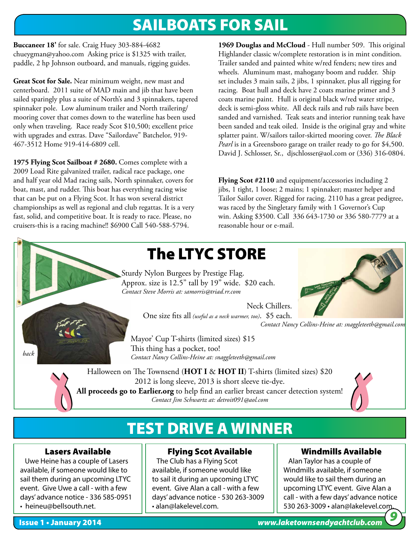# SAILBOATS FOR SAIL

**Buccaneer 18'** for sale. Craig Huey 303-884-4682 chueygman@yahoo.com Asking price is \$1325 with trailer, paddle, 2 hp Johnson outboard, and manuals, rigging guides.

**Great Scot for Sale.** Near minimum weight, new mast and centerboard. 2011 suite of MAD main and jib that have been sailed sparingly plus a suite of North's and 3 spinnakers, tapered spinnaker pole. Low aluminum trailer and North trailering/ mooring cover that comes down to the waterline has been used only when traveling. Race ready Scot \$10,500; excellent price with upgrades and extras. Dave "Sailordave" Batchelor, 919- 467-3512 Home 919-414-6809 cell.

**1975 Flying Scot Sailboat # 2680.** Comes complete with a 2009 Load Rite galvanized trailer, radical race package, one and half year old Mad racing sails, North spinnaker, covers for boat, mast, and rudder. This boat has everything racing wise that can be put on a Flying Scot. It has won several district championships as well as regional and club regattas. It is a very fast, solid, and competitive boat. It is ready to race. Please, no cruisers-this is a racing machine!! \$6900 Call 540-588-5794.

**1969 Douglas and McCloud** - Hull number 509. This original Highlander classic w/complete restoration is in mint condition. Trailer sanded and painted white w/red fenders; new tires and wheels. Aluminum mast, mahogany boom and rudder. Ship set includes 3 main sails, 2 jibs, 1 spinnaker, plus all rigging for racing. Boat hull and deck have 2 coats marine primer and 3 coats marine paint. Hull is original black w/red water stripe, deck is semi-gloss white. All deck rails and rub rails have been sanded and varnished. Teak seats and interior running teak have been sanded and teak oiled. Inside is the original gray and white splatter paint. W/sailors tailor-skirted mooring cover. *The Black Pearl* is in a Greensboro garage on trailer ready to go for \$4,500. David J. Schlosser, Sr., djschlosser@aol.com or (336) 316-0804.

**Flying Scot #2110** and equipment/accessories including 2 jibs, 1 tight, 1 loose; 2 mains; 1 spinnaker; master helper and Tailor Sailor cover. Rigged for racing. 2110 has a great pedigree, was raced by the Singletary family with 1 Governor's Cup win. Asking \$3500. Call 336 643-1730 or 336 580-7779 at a reasonable hour or e-mail.



Sturdy Nylon Burgees by Prestige Flag. Approx. size is 12.5" tall by 19" wide. \$20 each. *Contact Steve Morris at: samorris@triad.rr.com*

> Neck Chillers. One size fits all *(useful as a neck warmer, too)*. \$5 each.

*Contact Nancy Collins-Heine at: snaggleteeth@gmail.com*

Mayor' Cup T-shirts (limited sizes) \$15 This thing has a pocket, too! *Contact Nancy Collins-Heine at: snaggleteeth@gmail.com*

Halloween on The Townsend (HOT I & HOT II) T-shirts (limited sizes) \$20 2012 is long sleeve, 2013 is short sleeve tie-dye. **All proceeds go to Earlier.org** to help find an earlier breast cancer detection system! *Contact Jim Schwartz at: detroit091@aol.com*



# TEST DRIVE A WINNER

### Lasers Available

 Uwe Heine has a couple of Lasers available, if someone would like to sail them during an upcoming LTYC event. Give Uwe a call - with a few days' advance notice - 336 585-0951 • heineu@bellsouth.net.

### Flying Scot Available

 The Club has a Flying Scot available, if someone would like to sail it during an upcoming LTYC event. Give Alan a call - with a few days' advance notice - 530 263-3009 • alan@lakelevel.com.

### Windmills Available

 Alan Taylor has a couple of Windmills available, if someone would like to sail them during an upcoming LTYC event. Give Alan a call - with a few days' advance notice 530 263-3009 • alan@lakelevel.com. *9*

*back*